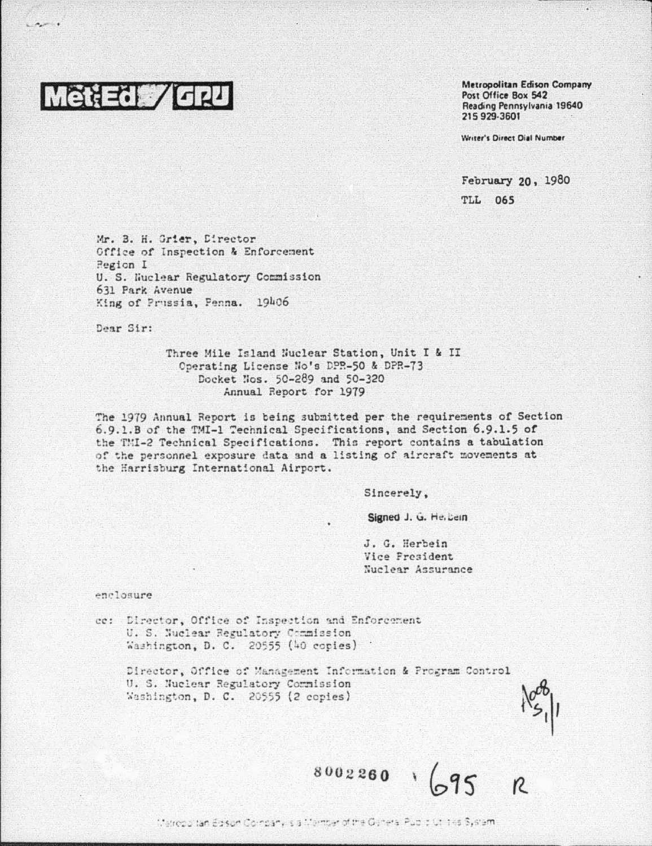

 $\sim$ 

Metropolitan Edison Company Post Office Box 542 Reading Pennsylvania 19640 215 929-3601

Writer's Direct Dial Number

February 20, 1980

**TLL 065** 

Mr. B. H. Grier, Director Office of Inspection & Enforcement Region I U. S. Wuclear Regulatory Commission 631 Park Avenue King of Prussia, Penna. 19406

Dear Sir:

Three Mile Island Nuclear Station, Unit I & II Operating License No's DPR-50 & DPR-73 Docket Nos. 50-289 and 50-320 Annual Report for 1979

The 1979 Annual Report is being submitted per the requirements of Section 6.9.1.B of the TMI-1 Technical Specifications, and Section 6.9.1.5 of the TMI-2 Technical Specifications. This report contains a tabulation of the personnel exposure data and a listing of aircraft movements at the Harrisburg International Airport.

Sincerely,

Signed J. G. Helbein

J. G. Herbein Vice President Nuclear Assurance

enclosure

Director, Office of Inspection and Enforcement ce: U. S. Nuclear Regulatory Commission Washington, D. C. 20555 (40 cories)

Director, Office of Management Information & Program Control U. S. Nuclear Regulatory Commission Washington, D. C. 20555 (2 copies)

 $8002260 \sqrt{95}$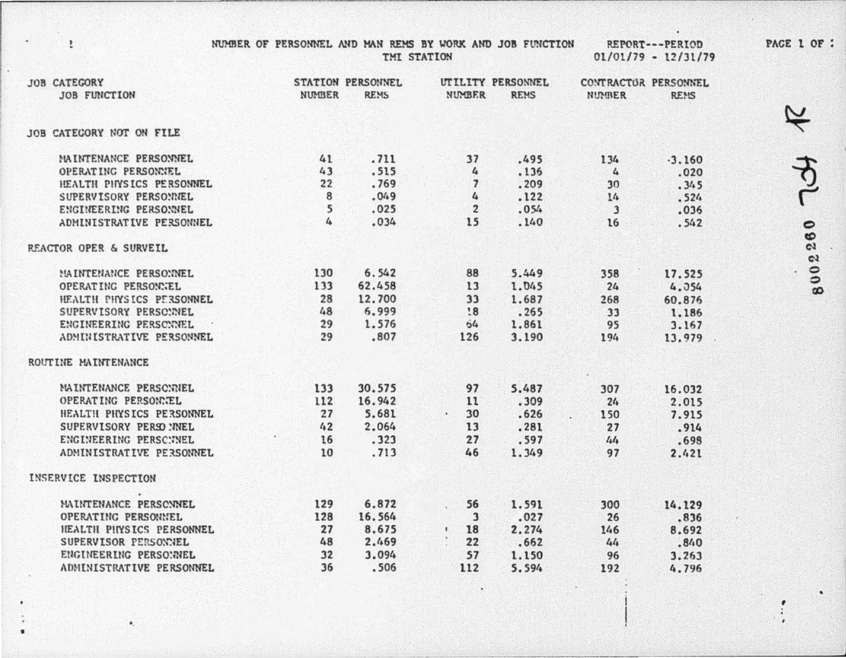NUMBER OF PERSONNEL AND MAN REMS BY WORK AND JOB FUNCTION TMI STATION

 $\ddot{\tilde{}}$ 

 $\bullet$ 

REPORT---PERIOD  $01/01/79 - 12/31/79$ 

| <b>JOB CATEGORY</b><br><b>JOB FUNCTION</b> | <b>NUMBER</b> | <b>STATION PERSONNEL</b><br><b>REMS</b> | <b>NUMBER</b>           | UTILITY PERSONNEL<br><b>REMS</b> | CONTRACTOR PERSONNEL<br><b>NUMBER</b> | <b>REMS</b> |
|--------------------------------------------|---------------|-----------------------------------------|-------------------------|----------------------------------|---------------------------------------|-------------|
|                                            |               |                                         |                         |                                  |                                       |             |
| JOB CATEGORY NOT ON FILE                   |               |                                         |                         |                                  |                                       |             |
| MAINTENANCE PERSONNEL                      | 41            | .711                                    | 37                      | .495                             | 134                                   | $-3.160$    |
| OPERATING PERSONNEL                        | 43            | .515                                    | 4                       | .136                             | $\mathbf{r}$                          | .020        |
| HEALTH PHYSICS PERSONNEL                   | 22            | .769                                    | $\overline{7}$          | .209                             | 30                                    | .345        |
| SUPERVISORY PERSONNEL                      | 8             | .049                                    | 4                       | .122                             | 14                                    | .524        |
| ENGINEERING PERSONNEL                      | 5             | .025                                    | $\overline{\mathbf{2}}$ | .054                             | 3                                     | .036        |
| ADMINISTRATIVE PERSONNEL                   |               | .034                                    | 15                      | .140                             | 16                                    | .542        |
| <b>REACTOR OPER &amp; SURVEIL</b>          |               |                                         |                         |                                  |                                       |             |
| MAINTENANCE PERSONNEL                      | 130           | 6.542                                   | 88                      | 5.449                            | 358                                   | 17.525      |
| OPERATING PERSONNEL                        | 133           | 62,458                                  | 13                      | 1.045                            | 24                                    | 4.054       |
| HEALTH PHYSICS PERSONNEL                   | 28            | 12,700                                  | 33                      | 1.687                            | 268                                   | 60.876      |
| SUPERVISORY PERSONNEL                      | 48            | 6.999                                   | !8                      | .265                             | 33                                    | 1.186       |
| ENGINEERING PERSONNEL                      | 29            | 1.576                                   | 64                      | 1.861                            | 95                                    | 3.167       |
| ADMINISTRATIVE PERSONNEL                   | 29            | .807                                    | 126                     | 3.190                            | 194                                   | 13.979      |
| ROUTINE MAINTENANCE                        |               |                                         |                         |                                  |                                       |             |
| MAINTENANCE PERSONNEL                      | 133           | 30.575                                  | 97                      | 5.487                            | 307                                   | 16.032      |
| OPERATING PERSONNEL                        | 112           | 16.942                                  | 11                      | .309                             | 24                                    | 2.015       |
| HEALTH PHYSICS PERSONNEL                   | 27            | 5.681                                   | 30<br>$\bullet$         | .626                             | 150                                   | 7.915       |
| SUPERVISORY PERSO : NEL                    | 42            | 2.064                                   | 13                      | .281                             | 27                                    | .914        |
| ENGINEERING PERSCNNEL                      | 16            | .323                                    | 27                      | .597                             | 44                                    | .698        |
| ADMINISTRATIVE PERSONNEL                   | 10            | .713                                    | 46                      | 1.349                            | 97                                    | 2.421       |
| INSERVICE INSPECTION                       |               |                                         |                         |                                  |                                       |             |
| MAINTENANCE PERSONNEL                      | 129           | 6.872                                   | 56                      | 1.591                            | 300                                   | 14.129      |
| OPERATING PERSONNEL                        | 128           | 16.564                                  | $\overline{\mathbf{3}}$ | .027                             | 26                                    | .836        |
| HEALTH PHYSICS PERSONNEL                   | 27            | 8.675                                   | 18<br>$\mathbf{t}$      | 2.274                            | 146                                   | 8.692       |
| SUPERVISOR PERSONNEL                       | 48            | 2.469                                   | 22                      | .662                             | 44                                    | .840        |
| ENGINEERING PERSONNEL                      | 32            | 3.094                                   | 57                      | 1.150                            | 96                                    | 3.263       |
| ADMINISTRATIVE PERSONNEL                   | 36            | .506                                    | 112                     | 5.594                            | 192                                   | 4.796       |
|                                            |               |                                         |                         |                                  |                                       |             |

PACE 1 OF :

8002260 TCH R